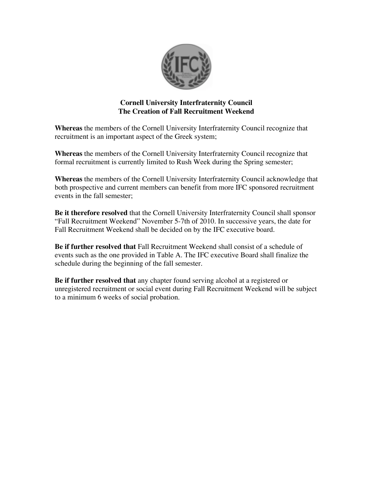

## **Cornell University Interfraternity Council The Creation of Fall Recruitment Weekend**

**Whereas** the members of the Cornell University Interfraternity Council recognize that recruitment is an important aspect of the Greek system;

**Whereas** the members of the Cornell University Interfraternity Council recognize that formal recruitment is currently limited to Rush Week during the Spring semester;

**Whereas** the members of the Cornell University Interfraternity Council acknowledge that both prospective and current members can benefit from more IFC sponsored recruitment events in the fall semester;

**Be it therefore resolved** that the Cornell University Interfraternity Council shall sponsor "Fall Recruitment Weekend" November 5-7th of 2010. In successive years, the date for Fall Recruitment Weekend shall be decided on by the IFC executive board.

**Be if further resolved that** Fall Recruitment Weekend shall consist of a schedule of events such as the one provided in Table A. The IFC executive Board shall finalize the schedule during the beginning of the fall semester.

**Be if further resolved that** any chapter found serving alcohol at a registered or unregistered recruitment or social event during Fall Recruitment Weekend will be subject to a minimum 6 weeks of social probation.